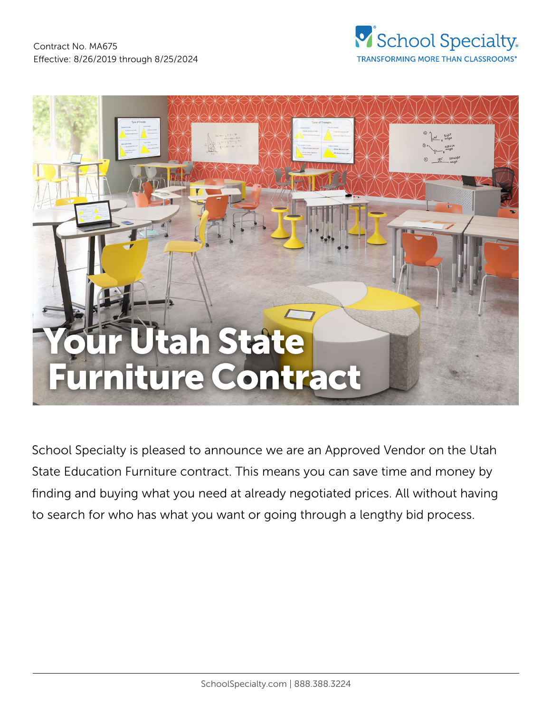



School Specialty is pleased to announce we are an Approved Vendor on the Utah State Education Furniture contract. This means you can save time and money by finding and buying what you need at already negotiated prices. All without having to search for who has what you want or going through a lengthy bid process.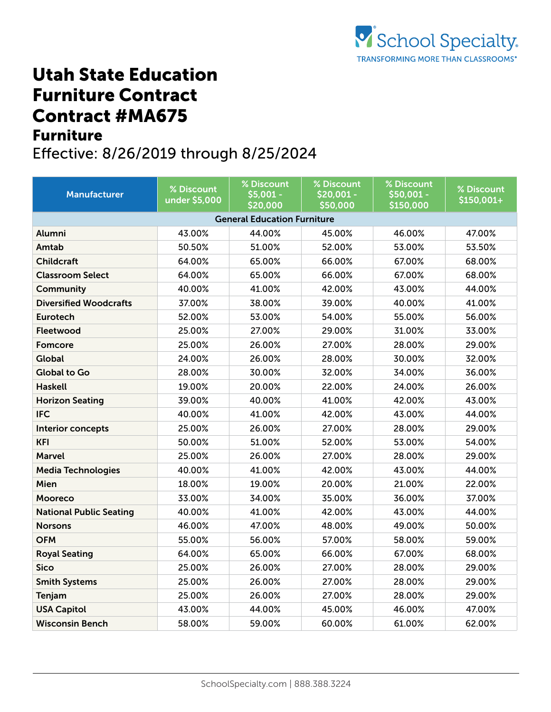## Utah State Education Furniture Contract Contract #MA675 Furniture

## Effective: 8/26/2019 through 8/25/2024

| <b>Manufacturer</b>                | % Discount<br>under \$5,000 | % Discount<br>\$5,001 -<br>\$20,000 | % Discount<br>\$20,001 -<br>\$50,000 | % Discount<br>\$50,001 -<br>\$150,000 | % Discount<br>\$150,001+ |  |  |  |
|------------------------------------|-----------------------------|-------------------------------------|--------------------------------------|---------------------------------------|--------------------------|--|--|--|
| <b>General Education Furniture</b> |                             |                                     |                                      |                                       |                          |  |  |  |
| Alumni                             | 43.00%                      | 44.00%                              | 45.00%                               | 46.00%                                | 47.00%                   |  |  |  |
| Amtab                              | 50.50%                      | 51.00%                              | 52.00%                               | 53.00%                                | 53.50%                   |  |  |  |
| <b>Childcraft</b>                  | 64.00%                      | 65.00%                              | 66.00%                               | 67.00%                                | 68.00%                   |  |  |  |
| <b>Classroom Select</b>            | 64.00%                      | 65.00%                              | 66.00%                               | 67.00%                                | 68.00%                   |  |  |  |
| <b>Community</b>                   | 40.00%                      | 41.00%                              | 42.00%                               | 43.00%                                | 44.00%                   |  |  |  |
| <b>Diversified Woodcrafts</b>      | 37.00%                      | 38.00%                              | 39.00%                               | 40.00%                                | 41.00%                   |  |  |  |
| <b>Eurotech</b>                    | 52.00%                      | 53.00%                              | 54.00%                               | 55.00%                                | 56.00%                   |  |  |  |
| Fleetwood                          | 25.00%                      | 27.00%                              | 29.00%                               | 31.00%                                | 33.00%                   |  |  |  |
| <b>Fomcore</b>                     | 25.00%                      | 26.00%                              | 27.00%                               | 28.00%                                | 29.00%                   |  |  |  |
| <b>Global</b>                      | 24.00%                      | 26.00%                              | 28.00%                               | 30.00%                                | 32.00%                   |  |  |  |
| <b>Global to Go</b>                | 28.00%                      | 30.00%                              | 32.00%                               | 34.00%                                | 36.00%                   |  |  |  |
| <b>Haskell</b>                     | 19.00%                      | 20.00%                              | 22.00%                               | 24.00%                                | 26.00%                   |  |  |  |
| <b>Horizon Seating</b>             | 39.00%                      | 40.00%                              | 41.00%                               | 42.00%                                | 43.00%                   |  |  |  |
| <b>IFC</b>                         | 40.00%                      | 41.00%                              | 42.00%                               | 43.00%                                | 44.00%                   |  |  |  |
| Interior concepts                  | 25.00%                      | 26.00%                              | 27.00%                               | 28.00%                                | 29.00%                   |  |  |  |
| <b>KFI</b>                         | 50.00%                      | 51.00%                              | 52.00%                               | 53.00%                                | 54.00%                   |  |  |  |
| <b>Marvel</b>                      | 25.00%                      | 26.00%                              | 27.00%                               | 28.00%                                | 29.00%                   |  |  |  |
| <b>Media Technologies</b>          | 40.00%                      | 41.00%                              | 42.00%                               | 43.00%                                | 44.00%                   |  |  |  |
| Mien                               | 18.00%                      | 19.00%                              | 20.00%                               | 21.00%                                | 22.00%                   |  |  |  |
| Mooreco                            | 33.00%                      | 34.00%                              | 35.00%                               | 36.00%                                | 37.00%                   |  |  |  |
| <b>National Public Seating</b>     | 40.00%                      | 41.00%                              | 42.00%                               | 43.00%                                | 44.00%                   |  |  |  |
| <b>Norsons</b>                     | 46.00%                      | 47.00%                              | 48.00%                               | 49.00%                                | 50.00%                   |  |  |  |
| <b>OFM</b>                         | 55.00%                      | 56.00%                              | 57.00%                               | 58.00%                                | 59.00%                   |  |  |  |
| <b>Royal Seating</b>               | 64.00%                      | 65.00%                              | 66.00%                               | 67.00%                                | 68.00%                   |  |  |  |
| <b>Sico</b>                        | 25.00%                      | 26.00%                              | 27.00%                               | 28.00%                                | 29.00%                   |  |  |  |
| <b>Smith Systems</b>               | 25.00%                      | 26.00%                              | 27.00%                               | 28.00%                                | 29.00%                   |  |  |  |
| <b>Tenjam</b>                      | 25.00%                      | 26.00%                              | 27.00%                               | 28.00%                                | 29.00%                   |  |  |  |
| <b>USA Capitol</b>                 | 43.00%                      | 44.00%                              | 45.00%                               | 46.00%                                | 47.00%                   |  |  |  |
| <b>Wisconsin Bench</b>             | 58.00%                      | 59.00%                              | 60.00%                               | 61.00%                                | 62.00%                   |  |  |  |